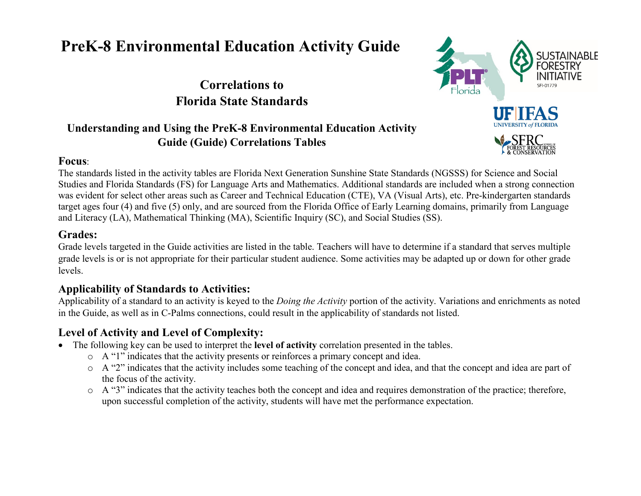# **PreK-8 Environmental Education Activity Guide**

## **Correlations to Florida State Standards**

## **Understanding and Using the PreK-8 Environmental Education Activity Guide (Guide) Correlations Tables**

#### **Focus**:



The standards listed in the activity tables are Florida Next Generation Sunshine State Standards (NGSSS) for Science and Social Studies and Florida Standards (FS) for Language Arts and Mathematics. Additional standards are included when a strong connection was evident for select other areas such as Career and Technical Education (CTE), VA (Visual Arts), etc. Pre-kindergarten standards target ages four (4) and five (5) only, and are sourced from the Florida Office of Early Learning domains, primarily from Language and Literacy (LA), Mathematical Thinking (MA), Scientific Inquiry (SC), and Social Studies (SS).

#### **Grades:**

Grade levels targeted in the Guide activities are listed in the table. Teachers will have to determine if a standard that serves multiple grade levels is or is not appropriate for their particular student audience. Some activities may be adapted up or down for other grade levels.

#### **Applicability of Standards to Activities:**

Applicability of a standard to an activity is keyed to the *Doing the Activity* portion of the activity. Variations and enrichments as noted in the Guide, as well as in C-Palms connections, could result in the applicability of standards not listed.

## **Level of Activity and Level of Complexity:**

- The following key can be used to interpret the **level of activity** correlation presented in the tables.
	- o A "1" indicates that the activity presents or reinforces a primary concept and idea.
	- o A "2" indicates that the activity includes some teaching of the concept and idea, and that the concept and idea are part of the focus of the activity.
	- o A "3" indicates that the activity teaches both the concept and idea and requires demonstration of the practice; therefore, upon successful completion of the activity, students will have met the performance expectation.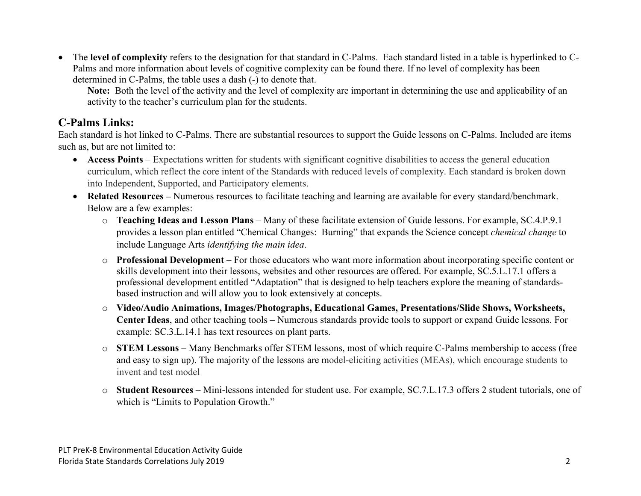• The **level of complexity** refers to the designation for that standard in C-Palms. Each standard listed in a table is hyperlinked to C-Palms and more information about levels of cognitive complexity can be found there. If no level of complexity has been determined in C-Palms, the table uses a dash (-) to denote that.

**Note:** Both the level of the activity and the level of complexity are important in determining the use and applicability of an activity to the teacher's curriculum plan for the students.

#### **C-Palms Links:**

Each standard is hot linked to C-Palms. There are substantial resources to support the Guide lessons on C-Palms. Included are items such as, but are not limited to:

- **Access Points** Expectations written for students with significant cognitive disabilities to access the general education curriculum, which reflect the core intent of the Standards with reduced levels of complexity. Each standard is broken down into Independent, Supported, and Participatory elements.
- **Related Resources –** Numerous resources to facilitate teaching and learning are available for every standard/benchmark. Below are a few examples:
	- o **Teaching Ideas and Lesson Plans** Many of these facilitate extension of Guide lessons. For example, SC.4.P.9.1 provides a lesson plan entitled "Chemical Changes: Burning" that expands the Science concept *chemical change* to include Language Arts *identifying the main idea*.
	- o **Professional Development –** For those educators who want more information about incorporating specific content or skills development into their lessons, websites and other resources are offered. For example, SC.5.L.17.1 offers a professional development entitled "Adaptation" that is designed to help teachers explore the meaning of standardsbased instruction and will allow you to look extensively at concepts.
	- o **Video/Audio Animations, Images/Photographs, Educational Games, Presentations/Slide Shows, Worksheets, Center Ideas**, and other teaching tools – Numerous standards provide tools to support or expand Guide lessons. For example: SC.3.L.14.1 has text resources on plant parts.
	- o **STEM Lessons** Many Benchmarks offer STEM lessons, most of which require C-Palms membership to access (free and easy to sign up). The majority of the lessons are model-eliciting activities (MEAs), which encourage students to invent and test model
	- o **Student Resources**  Mini-lessons intended for student use. For example, SC.7.L.17.3 offers 2 student tutorials, one of which is "Limits to Population Growth."